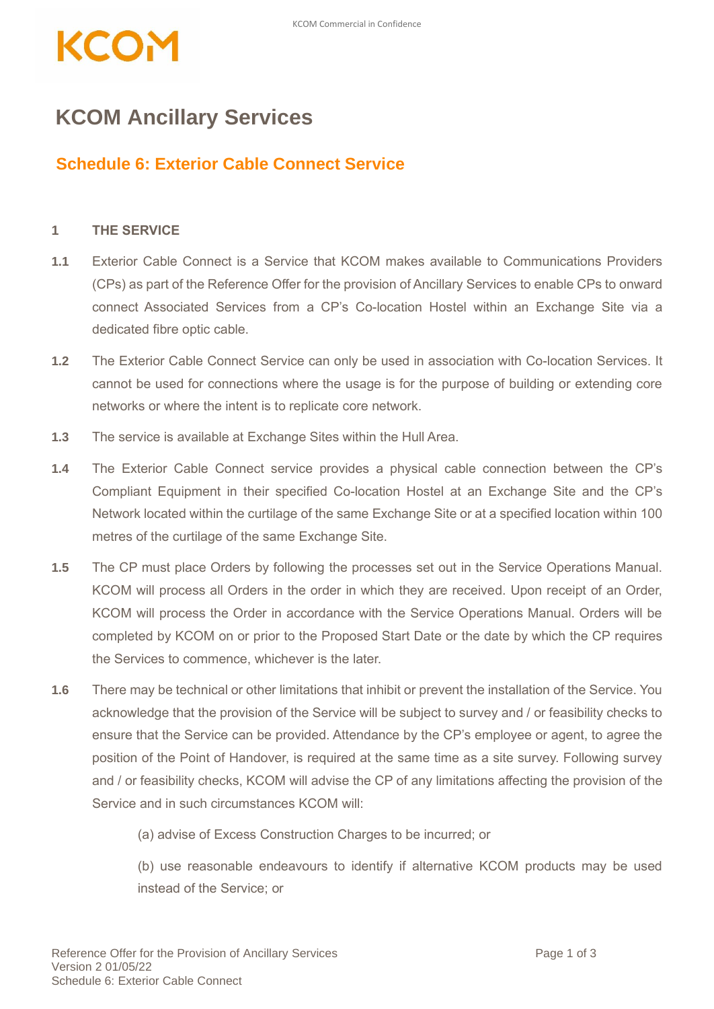## KCON

### **KCOM Ancillary Services**

### **Schedule 6: Exterior Cable Connect Service**

#### **1 THE SERVICE**

- **1.1** Exterior Cable Connect is a Service that KCOM makes available to Communications Providers (CPs) as part of the Reference Offer for the provision of Ancillary Services to enable CPs to onward connect Associated Services from a CP's Co-location Hostel within an Exchange Site via a dedicated fibre optic cable.
- **1.2** The Exterior Cable Connect Service can only be used in association with Co-location Services. It cannot be used for connections where the usage is for the purpose of building or extending core networks or where the intent is to replicate core network.
- **1.3** The service is available at Exchange Sites within the Hull Area.
- **1.4** The Exterior Cable Connect service provides a physical cable connection between the CP's Compliant Equipment in their specified Co-location Hostel at an Exchange Site and the CP's Network located within the curtilage of the same Exchange Site or at a specified location within 100 metres of the curtilage of the same Exchange Site.
- **1.5** The CP must place Orders by following the processes set out in the Service Operations Manual. KCOM will process all Orders in the order in which they are received. Upon receipt of an Order, KCOM will process the Order in accordance with the Service Operations Manual. Orders will be completed by KCOM on or prior to the Proposed Start Date or the date by which the CP requires the Services to commence, whichever is the later.
- **1.6** There may be technical or other limitations that inhibit or prevent the installation of the Service. You acknowledge that the provision of the Service will be subject to survey and / or feasibility checks to ensure that the Service can be provided. Attendance by the CP's employee or agent, to agree the position of the Point of Handover, is required at the same time as a site survey. Following survey and / or feasibility checks, KCOM will advise the CP of any limitations affecting the provision of the Service and in such circumstances KCOM will:

(a) advise of Excess Construction Charges to be incurred; or

(b) use reasonable endeavours to identify if alternative KCOM products may be used instead of the Service; or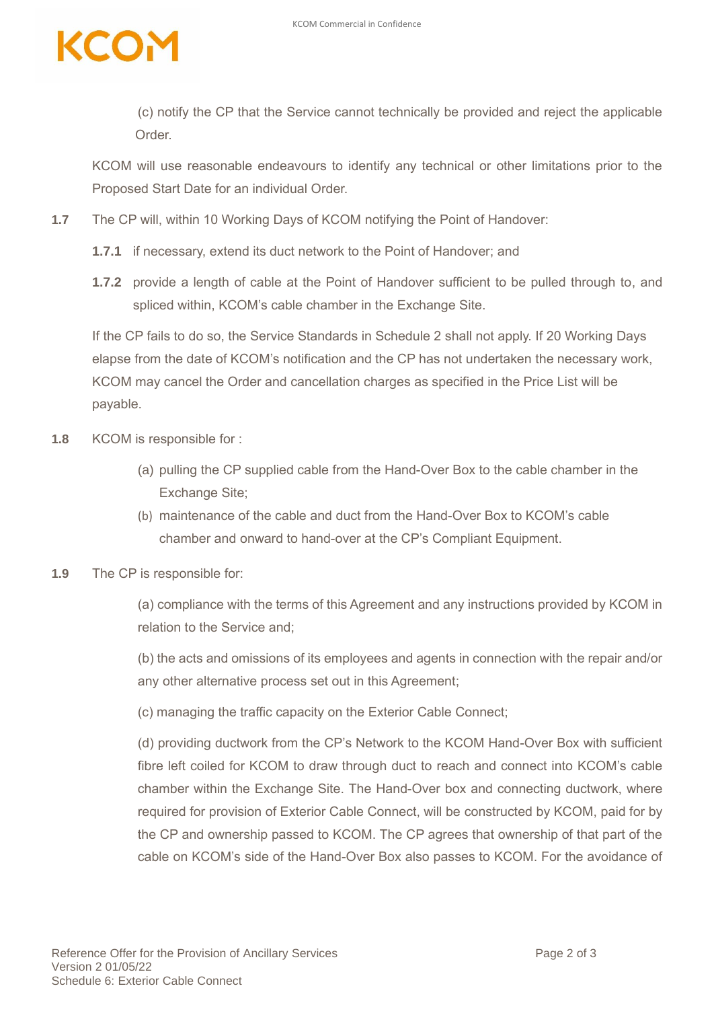

(c) notify the CP that the Service cannot technically be provided and reject the applicable **Order** 

KCOM will use reasonable endeavours to identify any technical or other limitations prior to the Proposed Start Date for an individual Order.

- **1.7** The CP will, within 10 Working Days of KCOM notifying the Point of Handover:
	- **1.7.1** if necessary, extend its duct network to the Point of Handover; and
	- **1.7.2** provide a length of cable at the Point of Handover sufficient to be pulled through to, and spliced within, KCOM's cable chamber in the Exchange Site.

If the CP fails to do so, the Service Standards in Schedule 2 shall not apply. If 20 Working Days elapse from the date of KCOM's notification and the CP has not undertaken the necessary work, KCOM may cancel the Order and cancellation charges as specified in the Price List will be payable.

- **1.8** KCOM is responsible for :
	- (a) pulling the CP supplied cable from the Hand-Over Box to the cable chamber in the Exchange Site;
	- (b) maintenance of the cable and duct from the Hand-Over Box to KCOM's cable chamber and onward to hand-over at the CP's Compliant Equipment.
- **1.9** The CP is responsible for:

(a) compliance with the terms of this Agreement and any instructions provided by KCOM in relation to the Service and;

(b) the acts and omissions of its employees and agents in connection with the repair and/or any other alternative process set out in this Agreement;

(c) managing the traffic capacity on the Exterior Cable Connect;

(d) providing ductwork from the CP's Network to the KCOM Hand-Over Box with sufficient fibre left coiled for KCOM to draw through duct to reach and connect into KCOM's cable chamber within the Exchange Site. The Hand-Over box and connecting ductwork, where required for provision of Exterior Cable Connect, will be constructed by KCOM, paid for by the CP and ownership passed to KCOM. The CP agrees that ownership of that part of the cable on KCOM's side of the Hand-Over Box also passes to KCOM. For the avoidance of